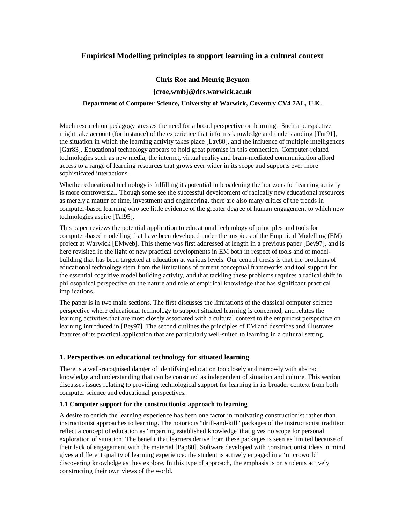# **Empirical Modelling principles to support learning in a cultural context**

## **Chris Roe and Meurig Beynon**

### **{croe,wmb}@dcs.warwick.ac.uk**

## **Department of Computer Science, University of Warwick, Coventry CV4 7AL, U.K.**

Much research on pedagogy stresses the need for a broad perspective on learning. Such a perspective might take account (for instance) of the experience that informs knowledge and understanding [Tur91], the situation in which the learning activity takes place [Lav88], and the influence of multiple intelligences [Gar83]. Educational technology appears to hold great promise in this connection. Computer-related technologies such as new media, the internet, virtual reality and brain-mediated communication afford access to a range of learning resources that grows ever wider in its scope and supports ever more sophisticated interactions.

Whether educational technology is fulfilling its potential in broadening the horizons for learning activity is more controversial. Though some see the successful development of radically new educational resources as merely a matter of time, investment and engineering, there are also many critics of the trends in computer-based learning who see little evidence of the greater degree of human engagement to which new technologies aspire [Tal95].

This paper reviews the potential application to educational technology of principles and tools for computer-based modelling that have been developed under the auspices of the Empirical Modelling (EM) project at Warwick [EMweb]. This theme was first addressed at length in a previous paper [Bey97], and is here revisited in the light of new practical developments in EM both in respect of tools and of modelbuilding that has been targetted at education at various levels. Our central thesis is that the problems of educational technology stem from the limitations of current conceptual frameworks and tool support for the essential cognitive model building activity, and that tackling these problems requires a radical shift in philosophical perspective on the nature and role of empirical knowledge that has significant practical implications.

The paper is in two main sections. The first discusses the limitations of the classical computer science perspective where educational technology to support situated learning is concerned, and relates the learning activities that are most closely associated with a cultural context to the empiricist perspective on learning introduced in [Bey97]. The second outlines the principles of EM and describes and illustrates features of its practical application that are particularly well-suited to learning in a cultural setting.

## **1. Perspectives on educational technology for situated learning**

There is a well-recognised danger of identifying education too closely and narrowly with abstract knowledge and understanding that can be construed as independent of situation and culture. This section discusses issues relating to providing technological support for learning in its broader context from both computer science and educational perspectives.

### **1.1 Computer support for the constructionist approach to learning**

A desire to enrich the learning experience has been one factor in motivating constructionist rather than instructionist approaches to learning. The notorious "drill-and-kill" packages of the instructionist tradition reflect a concept of education as 'imparting established knowledge' that gives no scope for personal exploration of situation. The benefit that learners derive from these packages is seen as limited because of their lack of engagement with the material [Pap80]. Software developed with constructionist ideas in mind gives a different quality of learning experience: the student is actively engaged in a 'microworld' discovering knowledge as they explore. In this type of approach, the emphasis is on students actively constructing their own views of the world.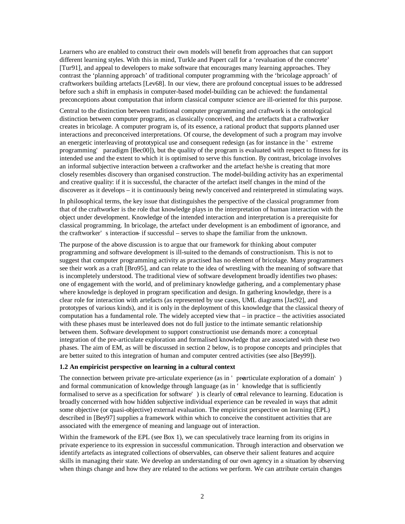Learners who are enabled to construct their own models will benefit from approaches that can support different learning styles. With this in mind, Turkle and Papert call for a 'revaluation of the concrete' [Tur91], and appeal to developers to make software that encourages many learning approaches. They contrast the 'planning approach' of traditional computer programming with the 'bricolage approach' of craftworkers building artefacts [Lev68]. In our view, there are profound conceptual issues to be addressed before such a shift in emphasis in computer-based model-building can be achieved: the fundamental preconceptions about computation that inform classical computer science are ill-oriented for this purpose.

Central to the distinction between traditional computer programming and craftwork is the ontological distinction between computer programs, as classically conceived, and the artefacts that a craftworker creates in bricolage. A computer program is, of its essence, a rational product that supports planned user interactions and preconceived interpretations. Of course, the development of such a program may involve an energetic interleaving of prototypical use and consequent redesign (as for instance in the ' extreme programming' paradigm [Bec00]), but the quality of the program is evaluated with respect to fitness for its intended use and the extent to which it is optimised to serve this function. By contrast, bricolage involves an informal subjective interaction between a craftworker and the artefact he/she is creating that more closely resembles discovery than organised construction. The model-building activity has an experimental and creative quality: if it is successful, the character of the artefact itself changes in the mind of the discoverer as it develops – it is continuously being newly conceived and reinterpreted in stimulating ways.

In philosophical terms, the key issue that distinguishes the perspective of the classical programmer from that of the craftworker is the role that knowledge plays in the interpretation of human interaction with the object under development. Knowledge of the intended interaction and interpretation is a prerequisite for classical programming. In bricolage, the artefact under development is an embodiment of ignorance, and the craftworker' s interaction if successful – serves to shape the familiar from the unknown.

The purpose of the above discussion is to argue that our framework for thinking about computer programming and software development is ill-suited to the demands of constructionism. This is not to suggest that computer programming activity as practised has no element of bricolage. Many programmers see their work as a craft [Bro95], and can relate to the idea of wrestling with the meaning of software that is incompletely understood. The traditional view of software development broadly identifies two phases: one of engagement with the world, and of preliminary knowledge gathering, and a complementary phase where knowledge is deployed in program specification and design. In gathering knowledge, there is a clear role for interaction with artefacts (as represented by use cases, UML diagrams [Jac92], and prototypes of various kinds), and it is only in the deployment of this knowledge that the classical theory of computation has a fundamental role. The widely accepted view that – in practice – the activities associated with these phases must be interleaved does not do full justice to the intimate semantic relationship between them. Software development to support constructionist use demands more: a conceptual integration of the pre-articulate exploration and formalised knowledge that are associated with these two phases. The aim of EM, as will be discussed in section 2 below, is to propose concepts and principles that are better suited to this integration of human and computer centred activities (see also [Bey99]).

### **1.2 An empiricist perspective on learning in a cultural context**

The connection between private pre-articulate experience (as in ' prearticulate exploration of a domain') and formal communication of knowledge through language (as in ' knowledge that is sufficiently formalised to serve as a specification for software' ) is clearly of cetral relevance to learning. Education is broadly concerned with how hidden subjective individual experience can be revealed in ways that admit some objective (or quasi-objective) external evaluation. The empiricist perspective on learning (EPL) described in [Bey97] supplies a framework within which to conceive the constituent activities that are associated with the emergence of meaning and language out of interaction.

Within the framework of the EPL (see Box 1), we can speculatively trace learning from its origins in private experience to its expression in successful communication. Through interaction and observation we identify artefacts as integrated collections of observables, can observe their salient features and acquire skills in managing their state. We develop an understanding of our own agency in a situation by observing when things change and how they are related to the actions we perform. We can attribute certain changes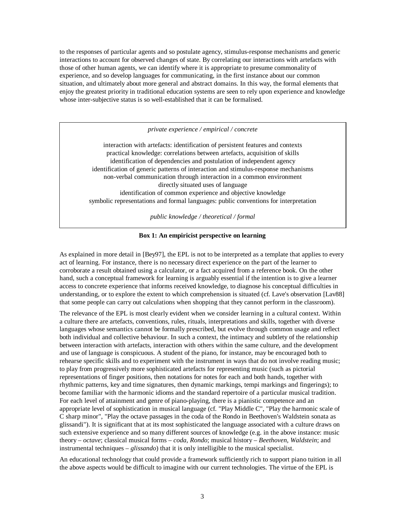to the responses of particular agents and so postulate agency, stimulus-response mechanisms and generic interactions to account for observed changes of state. By correlating our interactions with artefacts with those of other human agents, we can identify where it is appropriate to presume commonality of experience, and so develop languages for communicating, in the first instance about our common situation, and ultimately about more general and abstract domains. In this way, the formal elements that enjoy the greatest priority in traditional education systems are seen to rely upon experience and knowledge whose inter-subjective status is so well-established that it can be formalised.

*private experience / empirical / concrete*

interaction with artefacts: identification of persistent features and contexts practical knowledge: correlations between artefacts, acquisition of skills identification of dependencies and postulation of independent agency identification of generic patterns of interaction and stimulus-response mechanisms non-verbal communication through interaction in a common environment directly situated uses of language identification of common experience and objective knowledge symbolic representations and formal languages: public conventions for interpretation

*public knowledge / theoretical / formal*

#### **Box 1: An empiricist perspective on learning**

As explained in more detail in [Bey97], the EPL is not to be interpreted as a template that applies to every act of learning. For instance, there is no necessary direct experience on the part of the learner to corroborate a result obtained using a calculator, or a fact acquired from a reference book. On the other hand, such a conceptual framework for learning is arguably essential if the intention is to give a learner access to concrete experience that informs received knowledge, to diagnose his conceptual difficulties in understanding, or to explore the extent to which comprehension is situated (cf. Lave's observation [Lav88] that some people can carry out calculations when shopping that they cannot perform in the classroom).

The relevance of the EPL is most clearly evident when we consider learning in a cultural context. Within a culture there are artefacts, conventions, rules, rituals, interpretations and skills, together with diverse languages whose semantics cannot be formally prescribed, but evolve through common usage and reflect both individual and collective behaviour. In such a context, the intimacy and subtlety of the relationship between interaction with artefacts, interaction with others within the same culture, and the development and use of language is conspicuous. A student of the piano, for instance, may be encouraged both to rehearse specific skills and to experiment with the instrument in ways that do not involve reading music; to play from progressively more sophisticated artefacts for representing music (such as pictorial representations of finger positions, then notations for notes for each and both hands, together with rhythmic patterns, key and time signatures, then dynamic markings, tempi markings and fingerings); to become familiar with the harmonic idioms and the standard repertoire of a particular musical tradition. For each level of attainment and genre of piano-playing, there is a pianistic competence and an appropriate level of sophistication in musical language (cf. "Play Middle C", "Play the harmonic scale of C sharp minor", "Play the octave passages in the coda of the Rondo in Beethoven's Waldstein sonata as glissandi"). It is significant that at its most sophisticated the language associated with a culture draws on such extensive experience and so many different sources of knowledge (e.g. in the above instance: music theory – *octave*; classical musical forms – *coda*, *Rondo*; musical history – *Beethoven*, *Waldstein*; and instrumental techniques – *glissando*) that it is only intelligible to the musical specialist.

An educational technology that could provide a framework sufficiently rich to support piano tuition in all the above aspects would be difficult to imagine with our current technologies. The virtue of the EPL is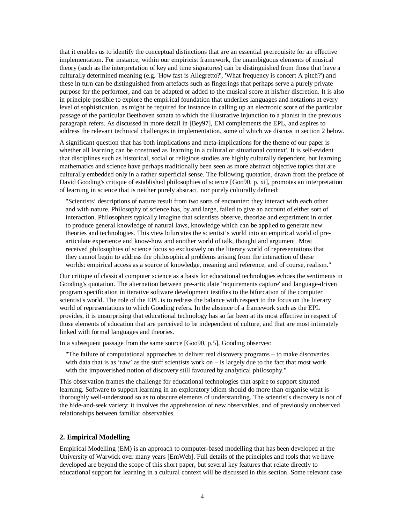that it enables us to identify the conceptual distinctions that are an essential prerequisite for an effective implementation. For instance, within our empiricist framework, the unambiguous elements of musical theory (such as the interpretation of key and time signatures) can be distinguished from those that have a culturally determined meaning (e.g. 'How fast is Allegretto?', 'What frequency is concert A pitch?') and these in turn can be distinguished from artefacts such as fingerings that perhaps serve a purely private purpose for the performer, and can be adapted or added to the musical score at his/her discretion. It is also in principle possible to explore the empirical foundation that underlies languages and notations at every level of sophistication, as might be required for instance in calling up an electronic score of the particular passage of the particular Beethoven sonata to which the illustrative injunction to a pianist in the previous paragraph refers. As discussed in more detail in [Bey97], EM complements the EPL, and aspires to address the relevant technical challenges in implementation, some of which we discuss in section 2 below.

A significant question that has both implications and meta-implications for the theme of our paper is whether all learning can be construed as 'learning in a cultural or situational context'. It is self-evident that disciplines such as historical, social or religious studies are highly culturally dependent, but learning mathematics and science have perhaps traditionally been seen as more abstract objective topics that are culturally embedded only in a rather superficial sense. The following quotation, drawn from the preface of David Gooding's critique of established philosophies of science [Goo90, p. xi], promotes an interpretation of learning in science that is neither purely abstract, nor purely culturally defined:

"Scientists' descriptions of nature result from two sorts of encounter: they interact with each other and with nature. Philosophy of science has, by and large, failed to give an account of either sort of interaction. Philosophers typically imagine that scientists observe, theorize and experiment in order to produce general knowledge of natural laws, knowledge which can be applied to generate new theories and technologies. This view bifurcates the scientist's world into an empirical world of prearticulate experience and know-how and another world of talk, thought and argument. Most received philosophies of science focus so exclusively on the literary world of representations that they cannot begin to address the philosophical problems arising from the interaction of these worlds: empirical access as a source of knowledge, meaning and reference, and of course, realism."

Our critique of classical computer science as a basis for educational technologies echoes the sentiments in Gooding's quotation. The alternation between pre-articulate 'requirements capture' and language-driven program specification in iterative software development testifies to the bifurcation of the computer scientist's world. The role of the EPL is to redress the balance with respect to the focus on the literary world of representations to which Gooding refers. In the absence of a framework such as the EPL provides, it is unsurprising that educational technology has so far been at its most effective in respect of those elements of education that are perceived to be independent of culture, and that are most intimately linked with formal languages and theories.

In a subsequent passage from the same source [Goo90, p.5], Gooding observes:

"The failure of computational approaches to deliver real discovery programs – to make discoveries with data that is as 'raw' as the stuff scientists work on  $-$  is largely due to the fact that most work with the impoverished notion of discovery still favoured by analytical philosophy."

This observation frames the challenge for educational technologies that aspire to support situated learning. Software to support learning in an exploratory idiom should do more than organise what is thoroughly well-understood so as to obscure elements of understanding. The scientist's discovery is not of the hide-and-seek variety: it involves the apprehension of new observables, and of previously unobserved relationships between familiar observables.

### **2. Empirical Modelling**

Empirical Modelling (EM) is an approach to computer-based modelling that has been developed at the University of Warwick over many years [EmWeb]. Full details of the principles and tools that we have developed are beyond the scope of this short paper, but several key features that relate directly to educational support for learning in a cultural context will be discussed in this section. Some relevant case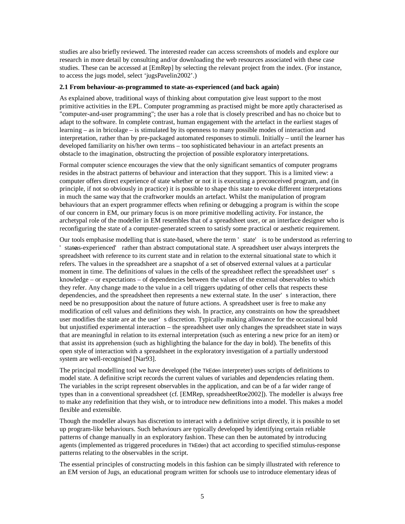studies are also briefly reviewed. The interested reader can access screenshots of models and explore our research in more detail by consulting and/or downloading the web resources associated with these case studies. These can be accessed at [EmRep] by selecting the relevant project from the index. (For instance, to access the jugs model, select 'jugsPavelin2002'.)

### **2.1 From behaviour-as-programmed to state-as-experienced (and back again)**

As explained above, traditional ways of thinking about computation give least support to the most primitive activities in the EPL. Computer programming as practised might be more aptly characterised as "computer-and-user programming"; the user has a role that is closely prescribed and has no choice but to adapt to the software. In complete contrast, human engagement with the artefact in the earliest stages of learning – as in bricolage – is stimulated by its openness to many possible modes of interaction and interpretation, rather than by pre-packaged automated responses to stimuli. Initially – until the learner has developed familiarity on his/her own terms – too sophisticated behaviour in an artefact presents an obstacle to the imagination, obstructing the projection of possible exploratory interpretations.

Formal computer science encourages the view that the only significant semantics of computer programs resides in the abstract patterns of behaviour and interaction that they support. This is a limited view: a computer offers direct experience of state whether or not it is executing a preconceived program, and (in principle, if not so obviously in practice) it is possible to shape this state to evoke different interpretations in much the same way that the craftworker moulds an artefact. Whilst the manipulation of program behaviours that an expert programmer effects when refining or debugging a program is within the scope of our concern in EM, our primary focus is on more primitive modelling activity. For instance, the archetypal role of the modeller in EM resembles that of a spreadsheet user, or an interface designer who is reconfiguring the state of a computer-generated screen to satisfy some practical or aesthetic requirement.

Our tools emphasise modelling that is state-based, where the term ' state' is to be understood as referring to ' stateas-experienced' rather than abstract computational state. A spreadsheet user always interprets the spreadsheet with reference to its current state and in relation to the external situational state to which it refers. The values in the spreadsheet are a snapshot of a set of observed external values at a particular moment in time. The definitions of values in the cells of the spreadsheet reflect the spreadsheet user' s knowledge – or expectations – of dependencies between the values of the external observables to which they refer. Any change made to the value in a cell triggers updating of other cells that respects these dependencies, and the spreadsheet then represents a new external state. In the user' s interaction, there need be no presupposition about the nature of future actions. A spreadsheet user is free to make any modification of cell values and definitions they wish. In practice, any constraints on how the spreadsheet user modifies the state are at the user' s discretion. Typically – making allowance for the occasional bold but unjustified experimental interaction – the spreadsheet user only changes the spreadsheet state in ways that are meaningful in relation to its external interpretation (such as entering a new price for an item) or that assist its apprehension (such as highlighting the balance for the day in bold). The benefits of this open style of interaction with a spreadsheet in the exploratory investigation of a partially understood system are well-recognised [Nar93].

The principal modelling tool we have developed (the TkEden interpreter) uses scripts of definitions to model state. A definitive script records the current values of variables and dependencies relating them. The variables in the script represent observables in the application, and can be of a far wider range of types than in a conventional spreadsheet (cf. [EMRep, spreadsheetRoe2002]). The modeller is always free to make any redefinition that they wish, or to introduce new definitions into a model. This makes a model flexible and extensible.

Though the modeller always has discretion to interact with a definitive script directly, it is possible to set up program-like behaviours. Such behaviours are typically developed by identifying certain reliable patterns of change manually in an exploratory fashion. These can then be automated by introducing agents (implemented as triggered procedures in TkEden) that act according to specified stimulus-response patterns relating to the observables in the script.

The essential principles of constructing models in this fashion can be simply illustrated with reference to an EM version of Jugs, an educational program written for schools use to introduce elementary ideas of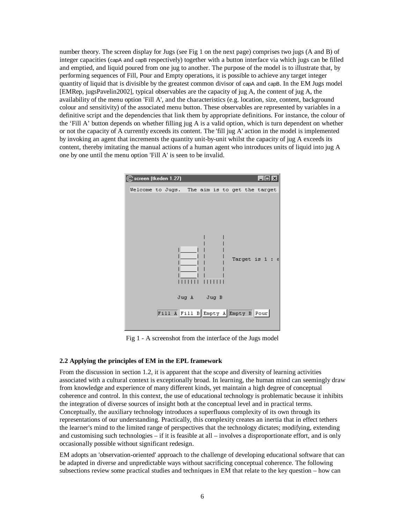number theory. The screen display for Jugs (see Fig 1 on the next page) comprises two jugs (A and B) of integer capacities (capA and capB respectively) together with a button interface via which jugs can be filled and emptied, and liquid poured from one jug to another. The purpose of the model is to illustrate that, by performing sequences of Fill, Pour and Empty operations, it is possible to achieve any target integer quantity of liquid that is divisible by the greatest common divisor of capA and capB. In the EM Jugs model [EMRep, jugsPavelin2002], typical observables are the capacity of jug A, the content of jug A, the availability of the menu option 'Fill A', and the characteristics (e.g. location, size, content, background colour and sensitivity) of the associated menu button. These observables are represented by variables in a definitive script and the dependencies that link them by appropriate definitions. For instance, the colour of the 'Fill A' button depends on whether filling jug A is a valid option, which is turn dependent on whether or not the capacity of A currently exceeds its content. The 'fill jug A' action in the model is implemented by invoking an agent that increments the quantity unit-by-unit whilst the capacity of jug A exceeds its content, thereby imitating the manual actions of a human agent who introduces units of liquid into jug A one by one until the menu option 'Fill A' is seen to be invalid.



Fig 1 - A screenshot from the interface of the Jugs model

#### **2.2 Applying the principles of EM in the EPL framework**

From the discussion in section 1.2, it is apparent that the scope and diversity of learning activities associated with a cultural context is exceptionally broad. In learning, the human mind can seemingly draw from knowledge and experience of many different kinds, yet maintain a high degree of conceptual coherence and control. In this context, the use of educational technology is problematic because it inhibits the integration of diverse sources of insight both at the conceptual level and in practical terms. Conceptually, the auxiliary technology introduces a superfluous complexity of its own through its representations of our understanding. Practically, this complexity creates an inertia that in effect tethers the learner's mind to the limited range of perspectives that the technology dictates; modifying, extending and customising such technologies – if it is feasible at all – involves a disproportionate effort, and is only occasionally possible without significant redesign.

EM adopts an 'observation-oriented' approach to the challenge of developing educational software that can be adapted in diverse and unpredictable ways without sacrificing conceptual coherence. The following subsections review some practical studies and techniques in EM that relate to the key question – how can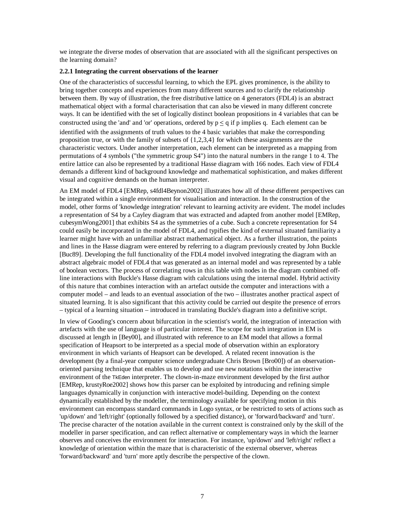we integrate the diverse modes of observation that are associated with all the significant perspectives on the learning domain?

#### **2.2.1 Integrating the current observations of the learner**

One of the characteristics of successful learning, to which the EPL gives prominence, is the ability to bring together concepts and experiences from many different sources and to clarify the relationship between them. By way of illustration, the free distributive lattice on 4 generators (FDL4) is an abstract mathematical object with a formal characterisation that can also be viewed in many different concrete ways. It can be identified with the set of logically distinct boolean propositions in 4 variables that can be constructed using the 'and' and 'or' operations, ordered by  $p \leq q$  if p implies q. Each element can be identified with the assignments of truth values to the 4 basic variables that make the corresponding proposition true, or with the family of subsets of {1,2,3,4} for which these assignments are the characteristic vectors. Under another interpretation, each element can be interpreted as a mapping from permutations of 4 symbols ("the symmetric group S4") into the natural numbers in the range 1 to 4. The entire lattice can also be represented by a traditional Hasse diagram with 166 nodes. Each view of FDL4 demands a different kind of background knowledge and mathematical sophistication, and makes different visual and cognitive demands on the human interpreter.

An EM model of FDL4 [EMRep, s4fdl4Beynon2002] illustrates how all of these different perspectives can be integrated within a single environment for visualisation and interaction. In the construction of the model, other forms of 'knowledge integration' relevant to learning activity are evident. The model includes a representation of S4 by a Cayley diagram that was extracted and adapted from another model [EMRep, cubesymWong2001] that exhibits S4 as the symmetries of a cube. Such a concrete representation for S4 could easily be incorporated in the model of FDL4, and typifies the kind of external situated familiarity a learner might have with an unfamiliar abstract mathematical object. As a further illustration, the points and lines in the Hasse diagram were entered by referring to a diagram previously created by John Buckle [Buc89]. Developing the full functionality of the FDL4 model involved integrating the diagram with an abstract algebraic model of FDL4 that was generated as an internal model and was represented by a table of boolean vectors. The process of correlating rows in this table with nodes in the diagram combined offline interactions with Buckle's Hasse diagram with calculations using the internal model. Hybrid activity of this nature that combines interaction with an artefact outside the computer and interactions with a computer model – and leads to an eventual association of the two – illustrates another practical aspect of situated learning. It is also significant that this activity could be carried out despite the presence of errors – typical of a learning situation – introduced in translating Buckle's diagram into a definitive script.

In view of Gooding's concern about bifurcation in the scientist's world, the integration of interaction with artefacts with the use of language is of particular interest. The scope for such integration in EM is discussed at length in [Bey00], and illustrated with reference to an EM model that allows a formal specification of Heapsort to be interpreted as a special mode of observation within an exploratory environment in which variants of Heapsort can be developed. A related recent innovation is the development (by a final-year computer science undergraduate Chris Brown [Bro00]) of an observationoriented parsing technique that enables us to develop and use new notations within the interactive environment of the TkEden interpreter. The clown-in-maze environment developed by the first author [EMRep, krustyRoe2002] shows how this parser can be exploited by introducing and refining simple languages dynamically in conjunction with interactive model-building. Depending on the context dynamically established by the modeller, the terminology available for specifying motion in this environment can encompass standard commands in Logo syntax, or be restricted to sets of actions such as 'up/down' and 'left/right' (optionally followed by a specified distance), or 'forward/backward' and 'turn'. The precise character of the notation available in the current context is constrained only by the skill of the modeller in parser specification, and can reflect alternative or complementary ways in which the learner observes and conceives the environment for interaction. For instance, 'up/down' and 'left/right' reflect a knowledge of orientation within the maze that is characteristic of the external observer, whereas 'forward/backward' and 'turn' more aptly describe the perspective of the clown.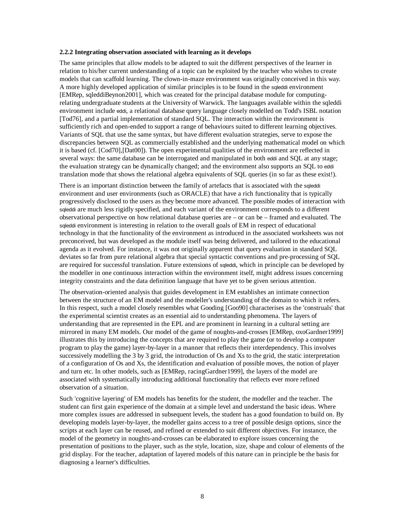#### **2.2.2 Integrating observation associated with learning as it develops**

The same principles that allow models to be adapted to suit the different perspectives of the learner in relation to his/her current understanding of a topic can be exploited by the teacher who wishes to create models that can scaffold learning. The clown-in-maze environment was originally conceived in this way. A more highly developed application of similar principles is to be found in the sqleddi environment [EMRep, sqleddiBeynon2001], which was created for the principal database module for computingrelating undergraduate students at the University of Warwick. The languages available within the sqleddi environment include eddi, a relational database query language closely modelled on Todd's ISBL notation [Tod76], and a partial implementation of standard SQL. The interaction within the environment is sufficiently rich and open-ended to support a range of behaviours suited to different learning objectives. Variants of SQL that use the same syntax, but have different evaluation strategies, serve to expose the discrepancies between SQL as commercially established and the underlying mathematical model on which it is based (cf. [Cod70],[Dat00]). The open experimental qualities of the environment are reflected in several ways: the same database can be interrogated and manipulated in both eddi and SQL at any stage; the evaluation strategy can be dynamically changed; and the environment also supports an SQL to eddi translation mode that shows the relational algebra equivalents of SQL queries (in so far as these exist!).

There is an important distinction between the family of artefacts that is associated with the sqleddi environment and user environments (such as ORACLE) that have a rich functionality that is typically progressively disclosed to the users as they become more advanced. The possible modes of interaction with sqleddi are much less rigidly specified, and each variant of the environment corresponds to a different observational perspective on how relational database queries are – or can be – framed and evaluated. The sqleddi environment is interesting in relation to the overall goals of EM in respect of educational technology in that the functionality of the environment as introduced in the associated worksheets was not preconceived, but was developed as the module itself was being delivered, and tailored to the educational agenda as it evolved. For instance, it was not originally apparent that query evaluation in standard SQL deviates so far from pure relational algebra that special syntactic conventions and pre-processing of SQL are required for successful translation. Future extensions of sqleddi, which in principle can be developed by the modeller in one continuous interaction within the environment itself, might address issues concerning integrity constraints and the data definition language that have yet to be given serious attention.

The observation-oriented analysis that guides development in EM establishes an intimate connection between the structure of an EM model and the modeller's understanding of the domain to which it refers. In this respect, such a model closely resembles what Gooding [Goo90] characterises as the 'construals' that the experimental scientist creates as an essential aid to understanding phenomena. The layers of understanding that are represented in the EPL and are prominent in learning in a cultural setting are mirrored in many EM models. Our model of the game of noughts-and-crosses [EMRep, oxoGardner1999] illustrates this by introducing the concepts that are required to play the game (or to develop a computer program to play the game) layer-by-layer in a manner that reflects their interdependency. This involves successively modelling the 3 by 3 grid, the introduction of Os and Xs to the grid, the static interpretation of a configuration of Os and Xs, the identification and evaluation of possible moves, the notion of player and turn etc. In other models, such as [EMRep, racingGardner1999], the layers of the model are associated with systematically introducing additional functionality that reflects ever more refined observation of a situation.

Such 'cognitive layering' of EM models has benefits for the student, the modeller and the teacher. The student can first gain experience of the domain at a simple level and understand the basic ideas. Where more complex issues are addressed in subsequent levels, the student has a good foundation to build on. By developing models layer-by-layer, the modeller gains access to a tree of possible design options, since the scripts at each layer can be reused, and refined or extended to suit different objectives. For instance, the model of the geometry in noughts-and-crosses can be elaborated to explore issues concerning the presentation of positions to the player, such as the style, location, size, shape and colour of elements of the grid display. For the teacher, adaptation of layered models of this nature can in principle be the basis for diagnosing a learner's difficulties.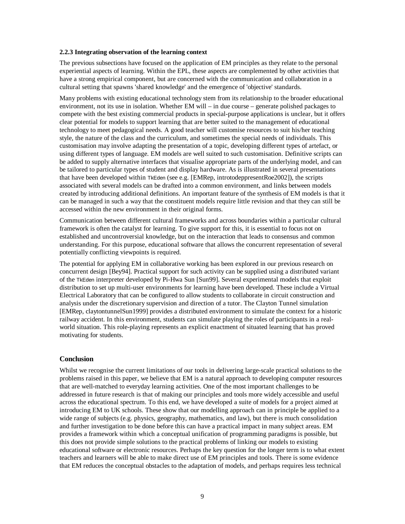#### **2.2.3 Integrating observation of the learning context**

The previous subsections have focused on the application of EM principles as they relate to the personal experiential aspects of learning. Within the EPL, these aspects are complemented by other activities that have a strong empirical component, but are concerned with the communication and collaboration in a cultural setting that spawns 'shared knowledge' and the emergence of 'objective' standards.

Many problems with existing educational technology stem from its relationship to the broader educational environment, not its use in isolation. Whether EM will – in due course – generate polished packages to compete with the best existing commercial products in special-purpose applications is unclear, but it offers clear potential for models to support learning that are better suited to the management of educational technology to meet pedagogical needs. A good teacher will customise resources to suit his/her teaching style, the nature of the class and the curriculum, and sometimes the special needs of individuals. This customisation may involve adapting the presentation of a topic, developing different types of artefact, or using different types of language. EM models are well suited to such customisation. Definitive scripts can be added to supply alternative interfaces that visualise appropriate parts of the underlying model, and can be tailored to particular types of student and display hardware. As is illustrated in several presentations that have been developed within TkEden (see e.g. [EMRep, introtodeppresentRoe2002]), the scripts associated with several models can be drafted into a common environment, and links between models created by introducing additional definitions. An important feature of the synthesis of EM models is that it can be managed in such a way that the constituent models require little revision and that they can still be accessed within the new environment in their original forms.

Communication between different cultural frameworks and across boundaries within a particular cultural framework is often the catalyst for learning. To give support for this, it is essential to focus not on established and uncontroversial knowledge, but on the interaction that leads to consensus and common understanding. For this purpose, educational software that allows the concurrent representation of several potentially conflicting viewpoints is required.

The potential for applying EM in collaborative working has been explored in our previous research on concurrent design [Bey94]. Practical support for such activity can be supplied using a distributed variant of the TkEden interpreter developed by Pi-Hwa Sun [Sun99]. Several experimental models that exploit distribution to set up multi-user environments for learning have been developed. These include a Virtual Electrical Laboratory that can be configured to allow students to collaborate in circuit construction and analysis under the discretionary supervision and direction of a tutor. The Clayton Tunnel simulation [EMRep, claytontunnelSun1999] provides a distributed environment to simulate the context for a historic railway accident. In this environment, students can simulate playing the roles of participants in a realworld situation. This role-playing represents an explicit enactment of situated learning that has proved motivating for students.

#### **Conclusion**

Whilst we recognise the current limitations of our tools in delivering large-scale practical solutions to the problems raised in this paper, we believe that EM is a natural approach to developing computer resources that are well-matched to everyday learning activities. One of the most important challenges to be addressed in future research is that of making our principles and tools more widely accessible and useful across the educational spectrum. To this end, we have developed a suite of models for a project aimed at introducing EM to UK schools. These show that our modelling approach can in principle be applied to a wide range of subjects (e.g. physics, geography, mathematics, and law), but there is much consolidation and further investigation to be done before this can have a practical impact in many subject areas. EM provides a framework within which a conceptual unification of programming paradigms is possible, but this does not provide simple solutions to the practical problems of linking our models to existing educational software or electronic resources. Perhaps the key question for the longer term is to what extent teachers and learners will be able to make direct use of EM principles and tools. There is some evidence that EM reduces the conceptual obstacles to the adaptation of models, and perhaps requires less technical